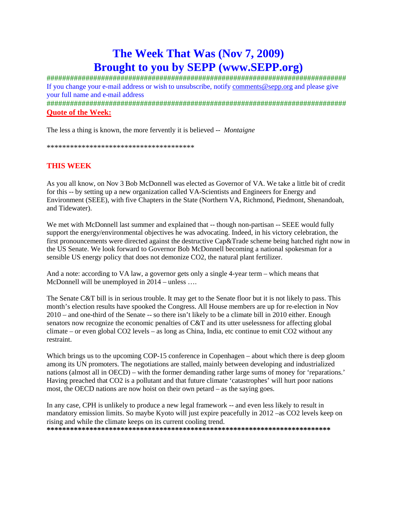# **The Week That Was (Nov 7, 2009) Brought to you by SEPP (www.SEPP.org)**

############################################################################# If you change your e-mail address or wish to unsubscribe, notify comments@sepp.org and please give your full name and e-mail address

############################################################################# **Quote of the Week:**

The less a thing is known, the more fervently it is believed -- *Montaigne*

\*\*\*\*\*\*\*\*\*\*\*\*\*\*\*\*\*\*\*\*\*\*\*\*\*\*\*\*\*\*\*\*\*\*\*\*\*\*

## **THIS WEEK**

As you all know, on Nov 3 Bob McDonnell was elected as Governor of VA. We take a little bit of credit for this -- by setting up a new organization called VA-Scientists and Engineers for Energy and Environment (SEEE), with five Chapters in the State (Northern VA, Richmond, Piedmont, Shenandoah, and Tidewater).

We met with McDonnell last summer and explained that -- though non-partisan -- SEEE would fully support the energy/environmental objectives he was advocating. Indeed, in his victory celebration, the first pronouncements were directed against the destructive Cap&Trade scheme being hatched right now in the US Senate. We look forward to Governor Bob McDonnell becoming a national spokesman for a sensible US energy policy that does not demonize CO2, the natural plant fertilizer.

And a note: according to VA law, a governor gets only a single 4-year term – which means that McDonnell will be unemployed in 2014 – unless ….

The Senate C&T bill is in serious trouble. It may get to the Senate floor but it is not likely to pass. This month's election results have spooked the Congress. All House members are up for re-election in Nov 2010 – and one-third of the Senate -- so there isn't likely to be a climate bill in 2010 either. Enough senators now recognize the economic penalties of C&T and its utter uselessness for affecting global climate – or even global CO2 levels – as long as China, India, etc continue to emit CO2 without any restraint.

Which brings us to the upcoming COP-15 conference in Copenhagen – about which there is deep gloom among its UN promoters. The negotiations are stalled, mainly between developing and industrialized nations (almost all in OECD) – with the former demanding rather large sums of money for 'reparations.' Having preached that CO2 is a pollutant and that future climate 'catastrophes' will hurt poor nations most, the OECD nations are now hoist on their own petard – as the saying goes.

In any case, CPH is unlikely to produce a new legal framework -- and even less likely to result in mandatory emission limits. So maybe Kyoto will just expire peacefully in 2012 –as CO2 levels keep on rising and while the climate keeps on its current cooling trend. **\*\*\*\*\*\*\*\*\*\*\*\*\*\*\*\*\*\*\*\*\*\*\*\*\*\*\*\*\*\*\*\*\*\*\*\*\*\*\*\*\*\*\*\*\*\*\*\*\*\*\*\*\*\*\*\*\*\*\*\*\*\*\*\*\*\*\*\*\*\*\*\*\***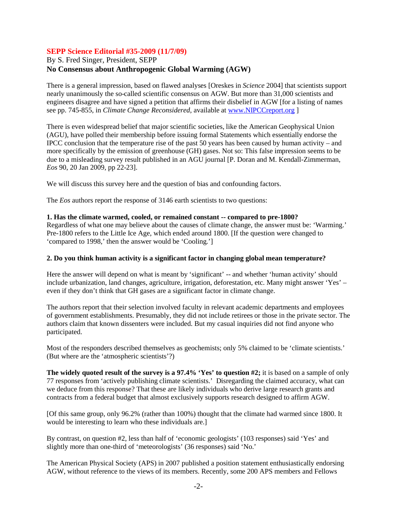### **SEPP Science Editorial #35-2009 (11/7/09)**

## By S. Fred Singer, President, SEPP **No Consensus about Anthropogenic Global Warming (AGW)**

There is a general impression, based on flawed analyses [Oreskes in *Science* 2004] that scientists support nearly unanimously the so-called scientific consensus on AGW. But more than 31,000 scientists and engineers disagree and have signed a petition that affirms their disbelief in AGW [for a listing of names see pp. 745-855, in *Climate Change Reconsidered*, available at www.NIPCCreport.org ]

There is even widespread belief that major scientific societies, like the American Geophysical Union (AGU), have polled their membership before issuing formal Statements which essentially endorse the IPCC conclusion that the temperature rise of the past 50 years has been caused by human activity – and more specifically by the emission of greenhouse (GH) gases. Not so: This false impression seems to be due to a misleading survey result published in an AGU journal [P. Doran and M. Kendall-Zimmerman, *Eos* 90, 20 Jan 2009, pp 22-23].

We will discuss this survey here and the question of bias and confounding factors.

The *Eos* authors report the response of 3146 earth scientists to two questions:

#### **1. Has the climate warmed, cooled, or remained constant -- compared to pre-1800?**

Regardless of what one may believe about the causes of climate change, the answer must be: 'Warming.' Pre-1800 refers to the Little Ice Age, which ended around 1800. [If the question were changed to 'compared to 1998,' then the answer would be 'Cooling.']

#### **2. Do you think human activity is a significant factor in changing global mean temperature?**

Here the answer will depend on what is meant by 'significant' -- and whether 'human activity' should include urbanization, land changes, agriculture, irrigation, deforestation, etc. Many might answer 'Yes' – even if they don't think that GH gases are a significant factor in climate change.

The authors report that their selection involved faculty in relevant academic departments and employees of government establishments. Presumably, they did not include retirees or those in the private sector. The authors claim that known dissenters were included. But my casual inquiries did not find anyone who participated.

Most of the responders described themselves as geochemists; only 5% claimed to be 'climate scientists.' (But where are the 'atmospheric scientists'?)

**The widely quoted result of the survey is a 97.4% 'Yes' to question #2;** it is based on a sample of only 77 responses from 'actively publishing climate scientists.' Disregarding the claimed accuracy, what can we deduce from this response? That these are likely individuals who derive large research grants and contracts from a federal budget that almost exclusively supports research designed to affirm AGW.

[Of this same group, only 96.2% (rather than 100%) thought that the climate had warmed since 1800. It would be interesting to learn who these individuals are.]

By contrast, on question #2, less than half of 'economic geologists' (103 responses) said 'Yes' and slightly more than one-third of 'meteorologists' (36 responses) said 'No.'

The American Physical Society (APS) in 2007 published a position statement enthusiastically endorsing AGW, without reference to the views of its members. Recently, some 200 APS members and Fellows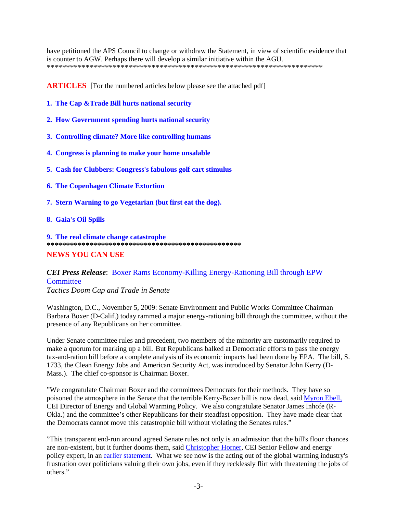have petitioned the APS Council to change or withdraw the Statement, in view of scientific evidence that is counter to AGW. Perhaps there will develop a similar initiative within the AGU. \*\*\*\*\*\*\*\*\*\*\*\*\*\*\*\*\*\*\*\*\*\*\*\*\*\*\*\*\*\*\*\*\*\*\*\*\*\*\*\*\*\*\*\*\*\*\*\*\*\*\*\*\*\*\*\*\*\*\*\*\*\*\*\*\*\*\*\*\*\*\*

**ARTICLES** [For the numbered articles below please see the attached pdf]

- **1. The Cap &Trade Bill hurts national security**
- **2. How Government spending hurts national security**
- **3. Controlling climate? More like controlling humans**
- **4. Congress is planning to make your home unsalable**
- **5. Cash for Clubbers: Congress's fabulous golf cart stimulus**
- **6. The Copenhagen Climate Extortion**
- **7. Stern Warning to go Vegetarian (but first eat the dog).**
- **8. Gaia's Oil Spills**

**9. The real climate change catastrophe \*\*\*\*\*\*\*\*\*\*\*\*\*\*\*\*\*\*\*\*\*\*\*\*\*\*\*\*\*\*\*\*\*\*\*\*\*\*\*\*\*\*\*\*\*\*\*\*\*\* NEWS YOU CAN USE**

### *CEI Press Release*: Boxer Rams Economy-Killing Energy-Rationing Bill through EPW **Committee** *Tactics Doom Cap and Trade in Senate*

Washington, D.C., November 5, 2009: Senate Environment and Public Works Committee Chairman Barbara Boxer (D-Calif.) today rammed a major energy-rationing bill through the committee, without the presence of any Republicans on her committee.

Under Senate committee rules and precedent, two members of the minority are customarily required to make a quorum for marking up a bill. But Republicans balked at Democratic efforts to pass the energy tax-and-ration bill before a complete analysis of its economic impacts had been done by EPA. The bill, S. 1733, the Clean Energy Jobs and American Security Act, was introduced by Senator John Kerry (D-Mass.). The chief co-sponsor is Chairman Boxer.

"We congratulate Chairman Boxer and the committees Democrats for their methods. They have so poisoned the atmosphere in the Senate that the terrible Kerry-Boxer bill is now dead, said Myron Ebell, CEI Director of Energy and Global Warming Policy. We also congratulate Senator James Inhofe (R-Okla.) and the committee's other Republicans for their steadfast opposition. They have made clear that the Democrats cannot move this catastrophic bill without violating the Senates rules."

"This transparent end-run around agreed Senate rules not only is an admission that the bill's floor chances are non-existent, but it further dooms them, said Christopher Horner, CEI Senior Fellow and energy policy expert, in an earlier statement. What we see now is the acting out of the global warming industry's frustration over politicians valuing their own jobs, even if they recklessly flirt with threatening the jobs of others."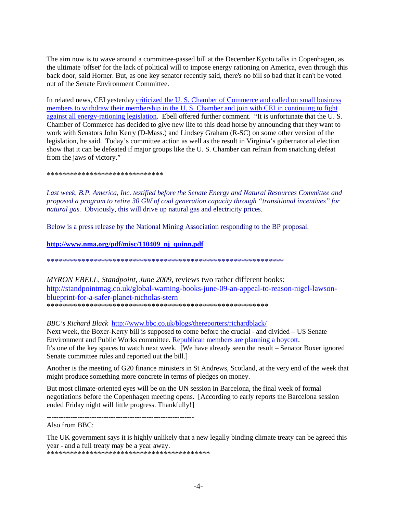The aim now is to wave around a committee-passed bill at the December Kyoto talks in Copenhagen, as the ultimate 'offset' for the lack of political will to impose energy rationing on America, even through this back door, said Horner. But, as one key senator recently said, there's no bill so bad that it can't be voted out of the Senate Environment Committee.

In related news, CEI yesterday criticized the U. S. Chamber of Commerce and called on small business members to withdraw their membership in the U. S. Chamber and join with CEI in continuing to fight against all energy-rationing legislation. Ebell offered further comment. "It is unfortunate that the U. S. Chamber of Commerce has decided to give new life to this dead horse by announcing that they want to work with Senators John Kerry (D-Mass.) and Lindsey Graham (R-SC) on some other version of the legislation, he said. Today's committee action as well as the result in Virginia's gubernatorial election show that it can be defeated if major groups like the U. S. Chamber can refrain from snatching defeat from the jaws of victory."

\*\*\*\*\*\*\*\*\*\*\*\*\*\*\*\*\*\*\*\*\*\*\*\*\*\*\*\*\*\*

*Last week, B.P. America, Inc. testified before the Senate Energy and Natural Resources Committee and proposed a program to retire 30 GW of coal generation capacity through "transitional incentives" for natural gas.* Obviously, this will drive up natural gas and electricity prices.

Below is a press release by the National Mining Association responding to the BP proposal.

**http://www.nma.org/pdf/misc/110409\_nj\_quinn.pdf**

\*\*\*\*\*\*\*\*\*\*\*\*\*\*\*\*\*\*\*\*\*\*\*\*\*\*\*\*\*\*\*\*\*\*\*\*\*\*\*\*\*\*\*\*\*\*\*\*\*\*\*\*\*\*\*\*\*\*\*\*\*

*MYRON EBELL, Standpoint, June 2009*, reviews two rather different books: http://standpointmag.co.uk/global-warning-books-june-09-an-appeal-to-reason-nigel-lawsonblueprint-for-a-safer-planet-nicholas-stern

\*\*\*\*\*\*\*\*\*\*\*\*\*\*\*\*\*\*\*\*\*\*\*\*\*\*\*\*\*\*\*\*\*\*\*\*\*\*\*\*\*\*\*\*\*\*\*\*\*\*\*\*\*\*\*\*\*

*BBC's Richard Black* http://www.bbc.co.uk/blogs/thereporters/richardblack/ Next week, the Boxer-Kerry bill is supposed to come before the crucial - and divided – US Senate Environment and Public Works committee. Republican members are planning a boycott. It's one of the key spaces to watch next week. [We have already seen the result – Senator Boxer ignored Senate committee rules and reported out the bill.]

Another is the meeting of G20 finance ministers in St Andrews, Scotland, at the very end of the week that might produce something more concrete in terms of pledges on money.

But most climate-oriented eyes will be on the UN session in Barcelona, the final week of formal negotiations before the Copenhagen meeting opens. [According to early reports the Barcelona session ended Friday night will little progress. Thankfully!]

--------------------------------------------------------------

Also from BBC:

The UK government says it is highly unlikely that a new legally binding climate treaty can be agreed this year - and a full treaty may be a year away.

\*\*\*\*\*\*\*\*\*\*\*\*\*\*\*\*\*\*\*\*\*\*\*\*\*\*\*\*\*\*\*\*\*\*\*\*\*\*\*\*\*\*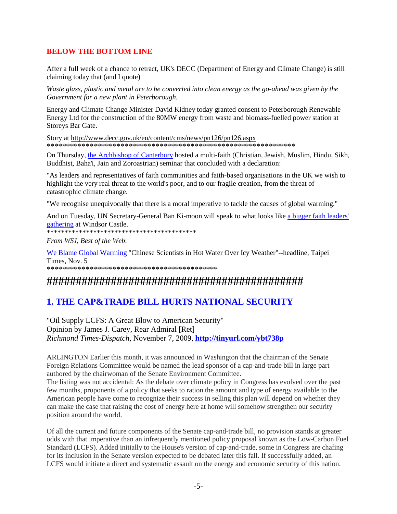### **BELOW THE BOTTOM LINE**

After a full week of a chance to retract, UK's DECC (Department of Energy and Climate Change) is still claiming today that (and I quote)

*Waste glass, plastic and metal are to be converted into clean energy as the go-ahead was given by the Government for a new plant in Peterborough.*

Energy and Climate Change Minister David Kidney today granted consent to Peterborough Renewable Energy Ltd for the construction of the 80MW energy from waste and biomass-fuelled power station at Storeys Bar Gate.

Story at http://www.decc.gov.uk/en/content/cms/news/pn126/pn126.aspx \*\*\*\*\*\*\*\*\*\*\*\*\*\*\*\*\*\*\*\*\*\*\*\*\*\*\*\*\*\*\*\*\*\*\*\*\*\*\*\*\*\*\*\*\*\*\*\*\*\*\*\*\*\*\*\*\*\*\*\*\*\*\*\*

On Thursday, the Archbishop of Canterbury hosted a multi-faith (Christian, Jewish, Muslim, Hindu, Sikh, Buddhist, Baha'i, Jain and Zoroastrian) seminar that concluded with a declaration:

"As leaders and representatives of faith communities and faith-based organisations in the UK we wish to highlight the very real threat to the world's poor, and to our fragile creation, from the threat of catastrophic climate change.

"We recognise unequivocally that there is a moral imperative to tackle the causes of global warming."

And on Tuesday, UN Secretary-General Ban Ki-moon will speak to what looks like a bigger faith leaders' gathering at Windsor Castle.

\*\*\*\*\*\*\*\*\*\*\*\*\*\*\*\*\*\*\*\*\*\*\*\*\*\*\*\*\*\*\*\*\*\*\*\*\*\*\*\*\*\*

*From WSJ, Best of the Web*:

We Blame Global Warming "Chinese Scientists in Hot Water Over Icy Weather"--headline, Taipei Times, Nov. 5 \*\*\*\*\*\*\*\*\*\*\*\*\*\*\*\*\*\*\*\*\*\*\*\*\*\*\*\*\*\*\*\*\*\*\*\*\*\*\*\*\*\*\*\*

# **############################################**

# **1. THE CAP&TRADE BILL HURTS NATIONAL SECURITY**

"Oil Supply LCFS: A Great Blow to American Security" Opinion by James J. Carey, Rear Admiral [Ret] *Richmond Times-Dispatch*, November 7, 2009, **http://tinyurl.com/ybt738p**

ARLINGTON Earlier this month, it was announced in Washington that the chairman of the Senate Foreign Relations Committee would be named the lead sponsor of a cap-and-trade bill in large part authored by the chairwoman of the Senate Environment Committee.

The listing was not accidental: As the debate over climate policy in Congress has evolved over the past few months, proponents of a policy that seeks to ration the amount and type of energy available to the American people have come to recognize their success in selling this plan will depend on whether they can make the case that raising the cost of energy here at home will somehow strengthen our security position around the world.

Of all the current and future components of the Senate cap-and-trade bill, no provision stands at greater odds with that imperative than an infrequently mentioned policy proposal known as the Low-Carbon Fuel Standard (LCFS). Added initially to the House's version of cap-and-trade, some in Congress are chafing for its inclusion in the Senate version expected to be debated later this fall. If successfully added, an LCFS would initiate a direct and systematic assault on the energy and economic security of this nation.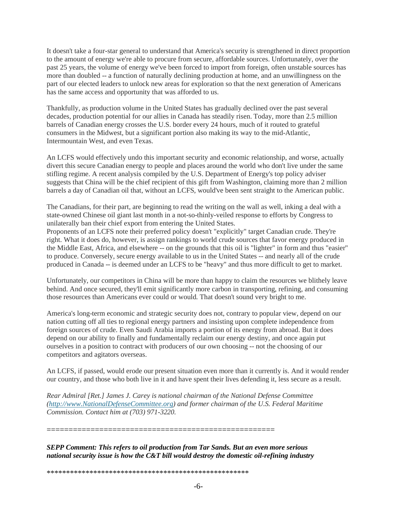It doesn't take a four-star general to understand that America's security is strengthened in direct proportion to the amount of energy we're able to procure from secure, affordable sources. Unfortunately, over the past 25 years, the volume of energy we've been forced to import from foreign, often unstable sources has more than doubled -- a function of naturally declining production at home, and an unwillingness on the part of our elected leaders to unlock new areas for exploration so that the next generation of Americans has the same access and opportunity that was afforded to us.

Thankfully, as production volume in the United States has gradually declined over the past several decades, production potential for our allies in Canada has steadily risen. Today, more than 2.5 million barrels of Canadian energy crosses the U.S. border every 24 hours, much of it routed to grateful consumers in the Midwest, but a significant portion also making its way to the mid-Atlantic, Intermountain West, and even Texas.

An LCFS would effectively undo this important security and economic relationship, and worse, actually divert this secure Canadian energy to people and places around the world who don't live under the same stifling regime. A recent analysis compiled by the U.S. Department of Energy's top policy adviser suggests that China will be the chief recipient of this gift from Washington, claiming more than 2 million barrels a day of Canadian oil that, without an LCFS, would've been sent straight to the American public.

The Canadians, for their part, are beginning to read the writing on the wall as well, inking a deal with a state-owned Chinese oil giant last month in a not-so-thinly-veiled response to efforts by Congress to unilaterally ban their chief export from entering the United States.

Proponents of an LCFS note their preferred policy doesn't "explicitly" target Canadian crude. They're right. What it does do, however, is assign rankings to world crude sources that favor energy produced in the Middle East, Africa, and elsewhere -- on the grounds that this oil is "lighter" in form and thus "easier" to produce. Conversely, secure energy available to us in the United States -- and nearly all of the crude produced in Canada -- is deemed under an LCFS to be "heavy" and thus more difficult to get to market.

Unfortunately, our competitors in China will be more than happy to claim the resources we blithely leave behind. And once secured, they'll emit significantly more carbon in transporting, refining, and consuming those resources than Americans ever could or would. That doesn't sound very bright to me.

America's long-term economic and strategic security does not, contrary to popular view, depend on our nation cutting off all ties to regional energy partners and insisting upon complete independence from foreign sources of crude. Even Saudi Arabia imports a portion of its energy from abroad. But it does depend on our ability to finally and fundamentally reclaim our energy destiny, and once again put ourselves in a position to contract with producers of our own choosing -- not the choosing of our competitors and agitators overseas.

An LCFS, if passed, would erode our present situation even more than it currently is. And it would render our country, and those who both live in it and have spent their lives defending it, less secure as a result.

*Rear Admiral [Ret.] James J. Carey is national chairman of the National Defense Committee (http://www.NationalDefenseCommittee.org) and former chairman of the U.S. Federal Maritime Commission. Contact him at (703) 971-3220.*

====================================================

*SEPP Comment: This refers to oil production from Tar Sands. But an even more serious national security issue is how the C&T bill would destroy the domestic oil-refining industry*

\*\*\*\*\*\*\*\*\*\*\*\*\*\*\*\*\*\*\*\*\*\*\*\*\*\*\*\*\*\*\*\*\*\*\*\*\*\*\*\*\*\*\*\*\*\*\*\*\*\*\*\*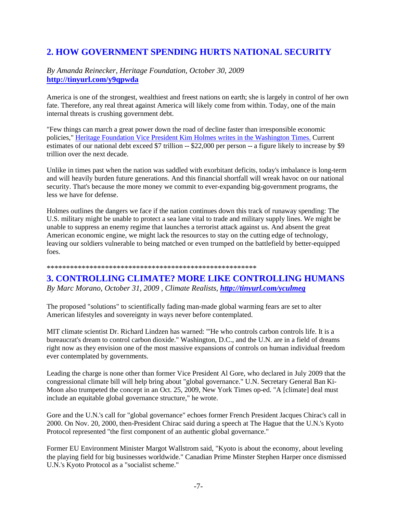# **2. HOW GOVERNMENT SPENDING HURTS NATIONAL SECURITY**

*By Amanda Reinecker, Heritage Foundation, October 30, 2009* **http://tinyurl.com/y9qpwda**

America is one of the strongest, wealthiest and freest nations on earth; she is largely in control of her own fate. Therefore, any real threat against America will likely come from within. Today, one of the main internal threats is crushing government debt.

"Few things can march a great power down the road of decline faster than irresponsible economic policies," Heritage Foundation Vice President Kim Holmes writes in the Washington Times. Current estimates of our national debt exceed \$7 trillion -- \$22,000 per person -- a figure likely to increase by \$9 trillion over the next decade.

Unlike in times past when the nation was saddled with exorbitant deficits, today's imbalance is long-term and will heavily burden future generations. And this financial shortfall will wreak havoc on our national security. That's because the more money we commit to ever-expanding big-government programs, the less we have for defense.

Holmes outlines the dangers we face if the nation continues down this track of runaway spending: The U.S. military might be unable to protect a sea lane vital to trade and military supply lines. We might be unable to suppress an enemy regime that launches a terrorist attack against us. And absent the great American economic engine, we might lack the resources to stay on the cutting edge of technology, leaving our soldiers vulnerable to being matched or even trumped on the battlefield by better-equipped foes.

#### \*\*\*\*\*\*\*\*\*\*\*\*\*\*\*\*\*\*\*\*\*\*\*\*\*\*\*\*\*\*\*\*\*\*\*\*\*\*\*\*\*\*\*\*\*\*\*\*\*\*\*\*\*\*

# **3. CONTROLLING CLIMATE? MORE LIKE CONTROLLING HUMANS**

*By Marc Morano, October 31, 2009 , Climate Realists, http://tinyurl.com/yculmeg*

The proposed "solutions" to scientifically fading man-made global warming fears are set to alter American lifestyles and sovereignty in ways never before contemplated.

MIT climate scientist Dr. Richard Lindzen has warned: "'He who controls carbon controls life. It is a bureaucrat's dream to control carbon dioxide." Washington, D.C., and the U.N. are in a field of dreams right now as they envision one of the most massive expansions of controls on human individual freedom ever contemplated by governments.

Leading the charge is none other than former Vice President Al Gore, who declared in July 2009 that the congressional climate bill will help bring about "global governance." U.N. Secretary General Ban Ki-Moon also trumpeted the concept in an Oct. 25, 2009, New York Times op-ed. "A [climate] deal must include an equitable global governance structure," he wrote.

Gore and the U.N.'s call for "global governance" echoes former French President Jacques Chirac's call in 2000. On Nov. 20, 2000, then-President Chirac said during a speech at The Hague that the U.N.'s Kyoto Protocol represented "the first component of an authentic global governance."

Former EU Environment Minister Margot Wallstrom said, "Kyoto is about the economy, about leveling the playing field for big businesses worldwide." Canadian Prime Minster Stephen Harper once dismissed U.N.'s Kyoto Protocol as a "socialist scheme."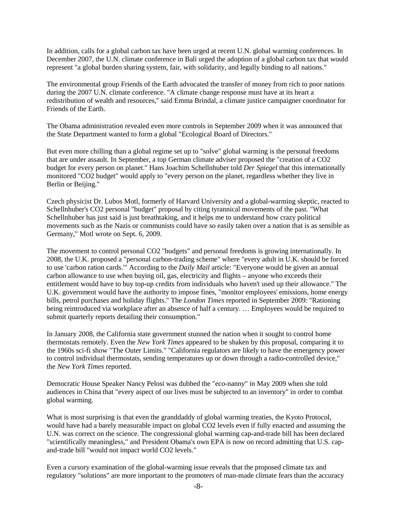In addition, calls for a global carbon tax have been urged at recent U.N. global warming conferences. In December 2007, the U.N. climate conference in Bali urged the adoption of a global carbon tax that would represent "a global burden sharing system, fair, with solidarity, and legally binding to all nations."

The environmental group Friends of the Earth advocated the transfer of money from rich to poor nations during the 2007 U.N. climate conference. "A climate change response must have at its heart a redistribution of wealth and resources," said Emma Brindal, a climate justice campaigner coordinator for Friends of the Earth.

The Obama administration revealed even more controls in September 2009 when it was announced that the State Department wanted to form a global "Ecological Board of Directors."

But even more chilling than a global regime set up to "solve" global warming is the personal freedoms that are under assault. In September, a top German climate adviser proposed the "creation of a CO2 budget for every person on planet." Hans Joachim Schellnhuber told *Der Spiegel* that this internationally monitored "CO2 budget" would apply to "every person on the planet, regardless whether they live in Berlin or Beijing."

Czech physicist Dr. Lubos Motl, formerly of Harvard University and a global-warming skeptic, reacted to Schellnhuber's CO2 personal "budget" proposal by citing tyrannical movements of the past. "What Schellnhuber has just said is just breathtaking, and it helps me to understand how crazy political movements such as the Nazis or communists could have so easily taken over a nation that is as sensible as Germany," Motl wrote on Sept. 6, 2009.

The movement to control personal CO2 "budgets" and personal freedoms is growing internationally. In 2008, the U.K. proposed a "personal carbon-trading scheme" where "every adult in U.K. should be forced to use 'carbon ration cards.'" According to the *Daily Mail* article: "Everyone would be given an annual carbon allowance to use when buying oil, gas, electricity and flights – anyone who exceeds their entitlement would have to buy top-up credits from individuals who haven't used up their allowance." The U.K. government would have the authority to impose fines, "monitor employees' emissions, home energy bills, petrol purchases and holiday flights." The *London Times* reported in September 2009: "Rationing being reintroduced via workplace after an absence of half a century. ... Employees would be required to submit quarterly reports detailing their consumption."

In January 2008, the California state government stunned the nation when it sought to control home thermostats remotely. Even the *New York Times* appeared to be shaken by this proposal, comparing it to the 1960s sci-fi show "The Outer Limits." "California regulators are likely to have the emergency power to control individual thermostats, sending temperatures up or down through a radio-controlled device," the *New York Times* reported.

Democratic House Speaker Nancy Pelosi was dubbed the "eco-nanny" in May 2009 when she told audiences in China that "every aspect of our lives must be subjected to an inventory" in order to combat global warming.

What is most surprising is that even the granddaddy of global warming treaties, the Kyoto Protocol, would have had a barely measurable impact on global CO2 levels even if fully enacted and assuming the U.N. was correct on the science. The congressional global warming cap-and-trade bill has been declared "scientifically meaningless," and President Obama's own EPA is now on record admitting that U.S. capand-trade bill "would not impact world CO2 levels."

Even a cursory examination of the global-warming issue reveals that the proposed climate tax and regulatory "solutions" are more important to the promoters of man-made climate fears than the accuracy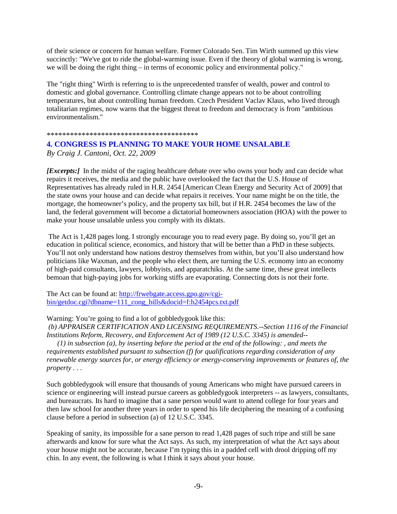of their science or concern for human welfare. Former Colorado Sen. Tim Wirth summed up this view succinctly: "We've got to ride the global-warming issue. Even if the theory of global warming is wrong, we will be doing the right thing – in terms of economic policy and environmental policy."

The "right thing" Wirth is referring to is the unprecedented transfer of wealth, power and control to domestic and global governance. Controlling climate change appears not to be about controlling temperatures, but about controlling human freedom. Czech President Vaclav Klaus, who lived through totalitarian regimes, now warns that the biggest threat to freedom and democracy is from "ambitious environmentalism."

#### \*\*\*\*\*\*\*\*\*\*\*\*\*\*\*\*\*\*\*\*\*\*\*\*\*\*\*\*\*\*\*\*\*\*\*\*\*\*\*

# **4. CONGRESS IS PLANNING TO MAKE YOUR HOME UNSALABLE**

*By Craig J. Cantoni, Oct. 22, 2009*

*[Excerpts:]* In the midst of the raging healthcare debate over who owns your body and can decide what repairs it receives, the media and the public have overlooked the fact that the U.S. House of Representatives has already ruled in H.R. 2454 [American Clean Energy and Security Act of 2009] that the state owns your house and can decide what repairs it receives. Your name might be on the title, the mortgage, the homeowner's policy, and the property tax bill, but if H.R. 2454 becomes the law of the land, the federal government will become a dictatorial homeowners association (HOA) with the power to make your house unsalable unless you comply with its diktats.

The Act is 1,428 pages long. I strongly encourage you to read every page. By doing so, you'll get an education in political science, economics, and history that will be better than a PhD in these subjects. You'll not only understand how nations destroy themselves from within, but you'll also understand how politicians like Waxman, and the people who elect them, are turning the U.S. economy into an economy of high-paid consultants, lawyers, lobbyists, and apparatchiks. At the same time, these great intellects bemoan that high-paying jobs for working stiffs are evaporating. Connecting dots is not their forte.

The Act can be found at: http://frwebgate.access.gpo.gov/cgibin/getdoc.cgi?dbname=111\_cong\_bills&docid=f:h2454pcs.txt.pdf

Warning: You're going to find a lot of gobbledygook like this:

*(b) APPRAISER CERTIFICATION AND LICENSING REQUIREMENTS.--Section 1116 of the Financial Institutions Reform, Recovery, and Enforcement Act of 1989 (12 U.S.C. 3345) is amended--*

 *(1) in subsection (a), by inserting before the period at the end of the following: , and meets the requirements established pursuant to subsection (f) for qualifications regarding consideration of any renewable energy sources for, or energy efficiency or energy-conserving improvements or features of, the property . . .*

Such gobbledygook will ensure that thousands of young Americans who might have pursued careers in science or engineering will instead pursue careers as gobbledygook interpreters -- as lawyers, consultants, and bureaucrats. Its hard to imagine that a sane person would want to attend college for four years and then law school for another three years in order to spend his life deciphering the meaning of a confusing clause before a period in subsection (a) of 12 U.S.C. 3345.

Speaking of sanity, its impossible for a sane person to read 1,428 pages of such tripe and still be sane afterwards and know for sure what the Act says. As such, my interpretation of what the Act says about your house might not be accurate, because I'm typing this in a padded cell with drool dripping off my chin. In any event, the following is what I think it says about your house.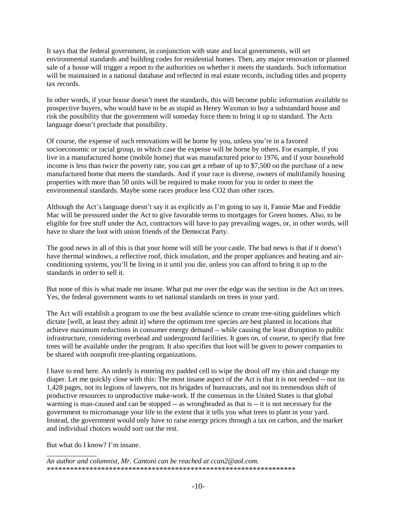It says that the federal government, in conjunction with state and local governments, will set environmental standards and building codes for residential homes. Then, any major renovation or planned sale of a house will trigger a report to the authorities on whether it meets the standards. Such information will be maintained in a national database and reflected in real estate records, including titles and property tax records.

In other words, if your house doesn't meet the standards, this will become public information available to prospective buyers, who would have to be as stupid as Henry Waxman to buy a substandard house and risk the possibility that the government will someday force them to bring it up to standard. The Acts language doesn't preclude that possibility.

Of course, the expense of such renovations will be borne by you, unless you're in a favored socioeconomic or racial group, in which case the expense will be borne by others. For example, if you live in a manufactured home (mobile home) that was manufactured prior to 1976, and if your household income is less than twice the poverty rate, you can get a rebate of up to \$7,500 on the purchase of a new manufactured home that meets the standards. And if your race is diverse, owners of multifamily housing properties with more than 50 units will be required to make room for you in order to meet the environmental standards. Maybe some races produce less CO2 than other races.

Although the Act's language doesn't say it as explicitly as I'm going to say it, Fannie Mae and Freddie Mac will be pressured under the Act to give favorable terms to mortgages for Green homes. Also, to be eligible for free stuff under the Act, contractors will have to pay prevailing wages, or, in other words, will have to share the loot with union friends of the Democrat Party.

The good news in all of this is that your home will still be your castle. The bad news is that if it doesn't have thermal windows, a reflective roof, thick insulation, and the proper appliances and heating and airconditioning systems, you'll be living in it until you die, unless you can afford to bring it up to the standards in order to sell it.

But none of this is what made me insane. What put me over the edge was the section in the Act on trees. Yes, the federal government wants to set national standards on trees in your yard.

The Act will establish a program to use the best available science to create tree-siting guidelines which dictate [well, at least they admit it] where the optimum tree species are best planted in locations that achieve maximum reductions in consumer energy demand -- while causing the least disruption to public infrastructure, considering overhead and underground facilities. It goes on, of course, to specify that free trees will be available under the program. It also specifies that loot will be given to power companies to be shared with nonprofit tree-planting organizations.

I have to end here. An orderly is entering my padded cell to wipe the drool off my chin and change my diaper. Let me quickly close with this: The most insane aspect of the Act is that it is not needed -- not its 1,428 pages, not its legions of lawyers, not its brigades of bureaucrats, and not its tremendous shift of productive resources to unproductive make-work. If the consensus in the United States is that global warming is man-caused and can be stopped -- as wrongheaded as that is -- it is not necessary for the government to micromanage your life to the extent that it tells you what trees to plant in your yard. Instead, the government would only have to raise energy prices through a tax on carbon, and the market and individual choices would sort out the rest.

But what do I know? I'm insane.

\_\_\_\_\_\_\_\_\_\_\_\_\_\_ *An author and columnist, Mr. Cantoni can be reached at ccan2@aol.com.*  \*\*\*\*\*\*\*\*\*\*\*\*\*\*\*\*\*\*\*\*\*\*\*\*\*\*\*\*\*\*\*\*\*\*\*\*\*\*\*\*\*\*\*\*\*\*\*\*\*\*\*\*\*\*\*\*\*\*\*\*\*\*\*\*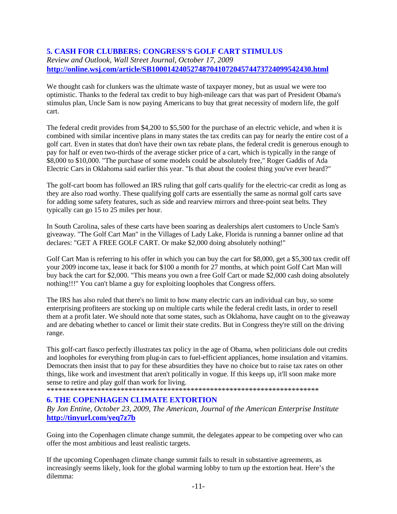### **5. CASH FOR CLUBBERS: CONGRESS'S GOLF CART STIMULUS** *Review and Outlook, Wall Street Journal, October 17, 2009* **http://online.wsj.com/article/SB10001424052748704107204574473724099542430.html**

We thought cash for clunkers was the ultimate waste of taxpayer money, but as usual we were too optimistic. Thanks to the federal tax credit to buy high-mileage cars that was part of President Obama's stimulus plan, Uncle Sam is now paying Americans to buy that great necessity of modern life, the golf cart.

The federal credit provides from \$4,200 to \$5,500 for the purchase of an electric vehicle, and when it is combined with similar incentive plans in many states the tax credits can pay for nearly the entire cost of a golf cart. Even in states that don't have their own tax rebate plans, the federal credit is generous enough to pay for half or even two-thirds of the average sticker price of a cart, which is typically in the range of \$8,000 to \$10,000. "The purchase of some models could be absolutely free," Roger Gaddis of Ada Electric Cars in Oklahoma said earlier this year. "Is that about the coolest thing you've ever heard?"

The golf-cart boom has followed an IRS ruling that golf carts qualify for the electric-car credit as long as they are also road worthy. These qualifying golf carts are essentially the same as normal golf carts save for adding some safety features, such as side and rearview mirrors and three-point seat belts. They typically can go 15 to 25 miles per hour.

In South Carolina, sales of these carts have been soaring as dealerships alert customers to Uncle Sam's giveaway. "The Golf Cart Man" in the Villages of Lady Lake, Florida is running a banner online ad that declares: "GET A FREE GOLF CART. Or make \$2,000 doing absolutely nothing!"

Golf Cart Man is referring to his offer in which you can buy the cart for \$8,000, get a \$5,300 tax credit off your 2009 income tax, lease it back for \$100 a month for 27 months, at which point Golf Cart Man will buy back the cart for \$2,000. "This means you own a free Golf Cart or made \$2,000 cash doing absolutely nothing!!!" You can't blame a guy for exploiting loopholes that Congress offers.

The IRS has also ruled that there's no limit to how many electric cars an individual can buy, so some enterprising profiteers are stocking up on multiple carts while the federal credit lasts, in order to resell them at a profit later. We should note that some states, such as Oklahoma, have caught on to the giveaway and are debating whether to cancel or limit their state credits. But in Congress they're still on the driving range.

This golf-cart fiasco perfectly illustrates tax policy in the age of Obama, when politicians dole out credits and loopholes for everything from plug-in cars to fuel-efficient appliances, home insulation and vitamins. Democrats then insist that to pay for these absurdities they have no choice but to raise tax rates on other things, like work and investment that aren't politically in vogue. If this keeps up, it'll soon make more sense to retire and play golf than work for living.

\*\*\*\*\*\*\*\*\*\*\*\*\*\*\*\*\*\*\*\*\*\*\*\*\*\*\*\*\*\*\*\*\*\*\*\*\*\*\*\*\*\*\*\*\*\*\*\*\*\*\*\*\*\*\*\*\*\*\*\*\*\*\*\*\*\*\*\*\*\*

### **6. THE COPENHAGEN CLIMATE EXTORTION**

*By Jon Entine, October 23, 2009, The American, Journal of the American Enterprise Institute* **http://tinyurl.com/yeq7z7b**

Going into the Copenhagen climate change summit, the delegates appear to be competing over who can offer the most ambitious and least realistic targets.

If the upcoming Copenhagen climate change summit fails to result in substantive agreements, as increasingly seems likely, look for the global warming lobby to turn up the extortion heat. Here's the dilemma: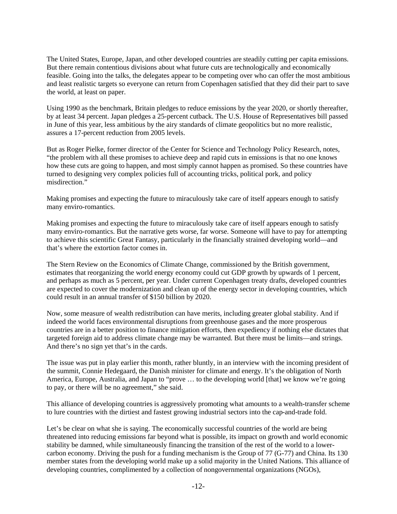The United States, Europe, Japan, and other developed countries are steadily cutting per capita emissions. But there remain contentious divisions about what future cuts are technologically and economically feasible. Going into the talks, the delegates appear to be competing over who can offer the most ambitious and least realistic targets so everyone can return from Copenhagen satisfied that they did their part to save the world, at least on paper.

Using 1990 as the benchmark, Britain pledges to reduce emissions by the year 2020, or shortly thereafter, by at least 34 percent. Japan pledges a 25-percent cutback. The U.S. House of Representatives bill passed in June of this year, less ambitious by the airy standards of climate geopolitics but no more realistic, assures a 17-percent reduction from 2005 levels.

But as Roger Pielke, former director of the Center for Science and Technology Policy Research, notes, "the problem with all these promises to achieve deep and rapid cuts in emissions is that no one knows how these cuts are going to happen, and most simply cannot happen as promised. So these countries have turned to designing very complex policies full of accounting tricks, political pork, and policy misdirection."

Making promises and expecting the future to miraculously take care of itself appears enough to satisfy many enviro-romantics.

Making promises and expecting the future to miraculously take care of itself appears enough to satisfy many enviro-romantics. But the narrative gets worse, far worse. Someone will have to pay for attempting to achieve this scientific Great Fantasy, particularly in the financially strained developing world—and that's where the extortion factor comes in.

The Stern Review on the Economics of Climate Change, commissioned by the British government, estimates that reorganizing the world energy economy could cut GDP growth by upwards of 1 percent, and perhaps as much as 5 percent, per year. Under current Copenhagen treaty drafts, developed countries are expected to cover the modernization and clean up of the energy sector in developing countries, which could result in an annual transfer of \$150 billion by 2020.

Now, some measure of wealth redistribution can have merits, including greater global stability. And if indeed the world faces environmental disruptions from greenhouse gases and the more prosperous countries are in a better position to finance mitigation efforts, then expediency if nothing else dictates that targeted foreign aid to address climate change may be warranted. But there must be limits—and strings. And there's no sign yet that's in the cards.

The issue was put in play earlier this month, rather bluntly, in an interview with the incoming president of the summit, Connie Hedegaard, the Danish minister for climate and energy. It's the obligation of North America, Europe, Australia, and Japan to "prove … to the developing world [that] we know we're going to pay, or there will be no agreement," she said.

This alliance of developing countries is aggressively promoting what amounts to a wealth-transfer scheme to lure countries with the dirtiest and fastest growing industrial sectors into the cap-and-trade fold.

Let's be clear on what she is saying. The economically successful countries of the world are being threatened into reducing emissions far beyond what is possible, its impact on growth and world economic stability be damned, while simultaneously financing the transition of the rest of the world to a lowercarbon economy. Driving the push for a funding mechanism is the Group of 77 (G-77) and China. Its 130 member states from the developing world make up a solid majority in the United Nations. This alliance of developing countries, complimented by a collection of nongovernmental organizations (NGOs),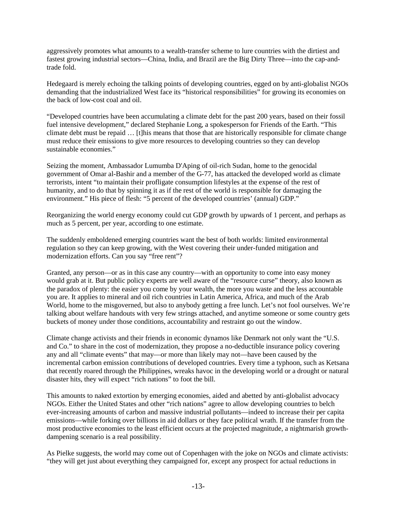aggressively promotes what amounts to a wealth-transfer scheme to lure countries with the dirtiest and fastest growing industrial sectors—China, India, and Brazil are the Big Dirty Three—into the cap-andtrade fold.

Hedegaard is merely echoing the talking points of developing countries, egged on by anti-globalist NGOs demanding that the industrialized West face its "historical responsibilities" for growing its economies on the back of low-cost coal and oil.

"Developed countries have been accumulating a climate debt for the past 200 years, based on their fossil fuel intensive development," declared Stephanie Long, a spokesperson for Friends of the Earth. "This climate debt must be repaid … [t]his means that those that are historically responsible for climate change must reduce their emissions to give more resources to developing countries so they can develop sustainable economies."

Seizing the moment, Ambassador Lumumba D'Aping of oil-rich Sudan, home to the genocidal government of Omar al-Bashir and a member of the G-77, has attacked the developed world as climate terrorists, intent "to maintain their profligate consumption lifestyles at the expense of the rest of humanity, and to do that by spinning it as if the rest of the world is responsible for damaging the environment." His piece of flesh: "5 percent of the developed countries' (annual) GDP."

Reorganizing the world energy economy could cut GDP growth by upwards of 1 percent, and perhaps as much as 5 percent, per year, according to one estimate.

The suddenly emboldened emerging countries want the best of both worlds: limited environmental regulation so they can keep growing, with the West covering their under-funded mitigation and modernization efforts. Can you say "free rent"?

Granted, any person—or as in this case any country—with an opportunity to come into easy money would grab at it. But public policy experts are well aware of the "resource curse" theory, also known as the paradox of plenty: the easier you come by your wealth, the more you waste and the less accountable you are. It applies to mineral and oil rich countries in Latin America, Africa, and much of the Arab World, home to the misgoverned, but also to anybody getting a free lunch. Let's not fool ourselves. We're talking about welfare handouts with very few strings attached, and anytime someone or some country gets buckets of money under those conditions, accountability and restraint go out the window.

Climate change activists and their friends in economic dynamos like Denmark not only want the "U.S. and Co." to share in the cost of modernization, they propose a no-deductible insurance policy covering any and all "climate events" that may—or more than likely may not—have been caused by the incremental carbon emission contributions of developed countries. Every time a typhoon, such as Ketsana that recently roared through the Philippines, wreaks havoc in the developing world or a drought or natural disaster hits, they will expect "rich nations" to foot the bill.

This amounts to naked extortion by emerging economies, aided and abetted by anti-globalist advocacy NGOs. Either the United States and other "rich nations" agree to allow developing countries to belch ever-increasing amounts of carbon and massive industrial pollutants—indeed to increase their per capita emissions—while forking over billions in aid dollars or they face political wrath. If the transfer from the most productive economies to the least efficient occurs at the projected magnitude, a nightmarish growthdampening scenario is a real possibility.

As Pielke suggests, the world may come out of Copenhagen with the joke on NGOs and climate activists: "they will get just about everything they campaigned for, except any prospect for actual reductions in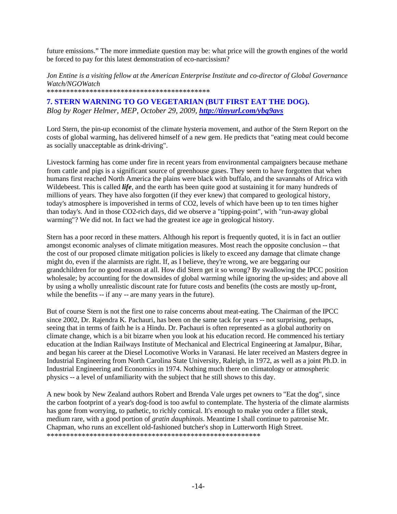future emissions." The more immediate question may be: what price will the growth engines of the world be forced to pay for this latest demonstration of eco-narcissism?

*Jon Entine is a visiting fellow at the American Enterprise Institute and co-director of Global Governance Watch/NGOWatch* \*\*\*\*\*\*\*\*\*\*\*\*\*\*\*\*\*\*\*\*\*\*\*\*\*\*\*\*\*\*\*\*\*\*\*\*\*\*\*\*\*\*

## **7. STERN WARNING TO GO VEGETARIAN (BUT FIRST EAT THE DOG).** *Blog by Roger Helmer, MEP, October 29, 2009, http://tinyurl.com/ybq9avs*

Lord Stern, the pin-up economist of the climate hysteria movement, and author of the Stern Report on the costs of global warming, has delivered himself of a new gem. He predicts that "eating meat could become as socially unacceptable as drink-driving".

Livestock farming has come under fire in recent years from environmental campaigners because methane from cattle and pigs is a significant source of greenhouse gases. They seem to have forgotten that when humans first reached North America the plains were black with buffalo, and the savannahs of Africa with Wildebeest. This is called *life*, and the earth has been quite good at sustaining it for many hundreds of millions of years. They have also forgotten (if they ever knew) that compared to geological history, today's atmosphere is impoverished in terms of CO2, levels of which have been up to ten times higher than today's. And in those CO2-rich days, did we observe a "tipping-point", with "run-away global warming"? We did not. In fact we had the greatest ice age in geological history.

Stern has a poor record in these matters. Although his report is frequently quoted, it is in fact an outlier amongst economic analyses of climate mitigation measures. Most reach the opposite conclusion -- that the cost of our proposed climate mitigation policies is likely to exceed any damage that climate change might do, even if the alarmists are right. If, as I believe, they're wrong, we are beggaring our grandchildren for no good reason at all. How did Stern get it so wrong? By swallowing the IPCC position wholesale; by accounting for the downsides of global warming while ignoring the up-sides; and above all by using a wholly unrealistic discount rate for future costs and benefits (the costs are mostly up-front, while the benefits -- if any -- are many years in the future).

But of course Stern is not the first one to raise concerns about meat-eating. The Chairman of the IPCC since 2002, Dr. Rajendra K. Pachauri, has been on the same tack for years -- not surprising, perhaps, seeing that in terms of faith he is a Hindu. Dr. Pachauri is often represented as a global authority on climate change, which is a bit bizarre when you look at his education record. He commenced his tertiary education at the Indian Railways Institute of Mechanical and Electrical Engineering at Jamalpur, Bihar, and began his career at the Diesel Locomotive Works in Varanasi. He later received an Masters degree in Industrial Engineering from North Carolina State University, Raleigh, in 1972, as well as a joint Ph.D. in Industrial Engineering and Economics in 1974. Nothing much there on climatology or atmospheric physics -- a level of unfamiliarity with the subject that he still shows to this day.

A new book by New Zealand authors Robert and Brenda Vale urges pet owners to "Eat the dog", since the carbon footprint of a year's dog-food is too awful to contemplate. The hysteria of the climate alarmists has gone from worrying, to pathetic, to richly comical. It's enough to make you order a fillet steak, medium rare, with a good portion of *gratin dauphinois*. Meantime I shall continue to patronise Mr. Chapman, who runs an excellent old-fashioned butcher's shop in Lutterworth High Street. \*\*\*\*\*\*\*\*\*\*\*\*\*\*\*\*\*\*\*\*\*\*\*\*\*\*\*\*\*\*\*\*\*\*\*\*\*\*\*\*\*\*\*\*\*\*\*\*\*\*\*\*\*\*\*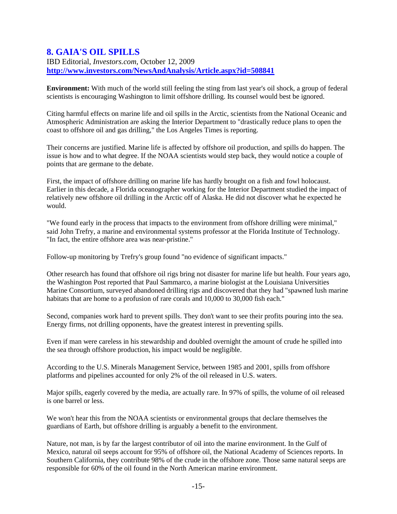# **8. GAIA'S OIL SPILLS**

IBD Editorial, *Investors.com,* October 12, 2009 **http://www.investors.com/NewsAndAnalysis/Article.aspx?id=508841**

**Environment:** With much of the world still feeling the sting from last year's oil shock, a group of federal scientists is encouraging Washington to limit offshore drilling. Its counsel would best be ignored.

Citing harmful effects on marine life and oil spills in the Arctic, scientists from the National Oceanic and Atmospheric Administration are asking the Interior Department to "drastically reduce plans to open the coast to offshore oil and gas drilling," the Los Angeles Times is reporting.

Their concerns are justified. Marine life is affected by offshore oil production, and spills do happen. The issue is how and to what degree. If the NOAA scientists would step back, they would notice a couple of points that are germane to the debate.

First, the impact of offshore drilling on marine life has hardly brought on a fish and fowl holocaust. Earlier in this decade, a Florida oceanographer working for the Interior Department studied the impact of relatively new offshore oil drilling in the Arctic off of Alaska. He did not discover what he expected he would.

"We found early in the process that impacts to the environment from offshore drilling were minimal," said John Trefry, a marine and environmental systems professor at the Florida Institute of Technology. "In fact, the entire offshore area was near-pristine."

Follow-up monitoring by Trefry's group found "no evidence of significant impacts."

Other research has found that offshore oil rigs bring not disaster for marine life but health. Four years ago, the Washington Post reported that Paul Sammarco, a marine biologist at the Louisiana Universities Marine Consortium, surveyed abandoned drilling rigs and discovered that they had "spawned lush marine habitats that are home to a profusion of rare corals and 10,000 to 30,000 fish each."

Second, companies work hard to prevent spills. They don't want to see their profits pouring into the sea. Energy firms, not drilling opponents, have the greatest interest in preventing spills.

Even if man were careless in his stewardship and doubled overnight the amount of crude he spilled into the sea through offshore production, his impact would be negligible.

According to the U.S. Minerals Management Service, between 1985 and 2001, spills from offshore platforms and pipelines accounted for only 2% of the oil released in U.S. waters.

Major spills, eagerly covered by the media, are actually rare. In 97% of spills, the volume of oil released is one barrel or less.

We won't hear this from the NOAA scientists or environmental groups that declare themselves the guardians of Earth, but offshore drilling is arguably a benefit to the environment.

Nature, not man, is by far the largest contributor of oil into the marine environment. In the Gulf of Mexico, natural oil seeps account for 95% of offshore oil, the National Academy of Sciences reports. In Southern California, they contribute 98% of the crude in the offshore zone. Those same natural seeps are responsible for 60% of the oil found in the North American marine environment.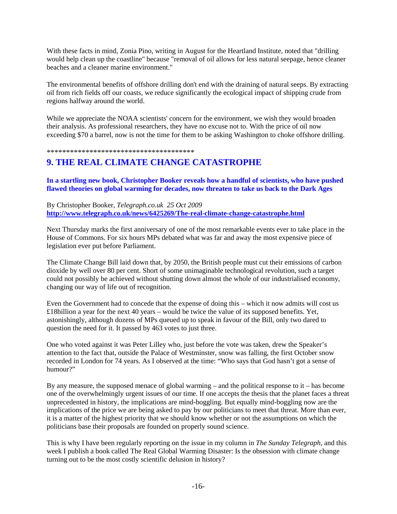With these facts in mind, Zonia Pino, writing in August for the Heartland Institute, noted that "drilling would help clean up the coastline" because "removal of oil allows for less natural seepage, hence cleaner beaches and a cleaner marine environment."

The environmental benefits of offshore drilling don't end with the draining of natural seeps. By extracting oil from rich fields off our coasts, we reduce significantly the ecological impact of shipping crude from regions halfway around the world.

While we appreciate the NOAA scientists' concern for the environment, we wish they would broaden their analysis. As professional researchers, they have no excuse not to. With the price of oil now exceeding \$70 a barrel, now is not the time for them to be asking Washington to choke offshore drilling.

#### \*\*\*\*\*\*\*\*\*\*\*\*\*\*\*\*\*\*\*\*\*\*\*\*\*\*\*\*\*\*\*\*\*\*\*\*\*\*

# **9. THE REAL CLIMATE CHANGE CATASTROPHE**

**In a startling new book, Christopher Booker reveals how a handful of scientists, who have pushed flawed theories on global warming for decades, now threaten to take us back to the Dark Ages** 

By Christopher Booker, *Telegraph.co.uk 25 Oct 2009* **http://www.telegraph.co.uk/news/6425269/The-real-climate-change-catastrophe.html** 

Next Thursday marks the first anniversary of one of the most remarkable events ever to take place in the House of Commons. For six hours MPs debated what was far and away the most expensive piece of legislation ever put before Parliament.

The Climate Change Bill laid down that, by 2050, the British people must cut their emissions of carbon dioxide by well over 80 per cent. Short of some unimaginable technological revolution, such a target could not possibly be achieved without shutting down almost the whole of our industrialised economy, changing our way of life out of recognition.

Even the Government had to concede that the expense of doing this – which it now admits will cost us £18billion a year for the next 40 years – would be twice the value of its supposed benefits. Yet, astonishingly, although dozens of MPs queued up to speak in favour of the Bill, only two dared to question the need for it. It passed by 463 votes to just three.

One who voted against it was Peter Lilley who, just before the vote was taken, drew the Speaker's attention to the fact that, outside the Palace of Westminster, snow was falling, the first October snow recorded in London for 74 years. As I observed at the time: "Who says that God hasn't got a sense of humour?"

By any measure, the supposed menace of global warming – and the political response to it – has become one of the overwhelmingly urgent issues of our time. If one accepts the thesis that the planet faces a threat unprecedented in history, the implications are mind-boggling. But equally mind-boggling now are the implications of the price we are being asked to pay by our politicians to meet that threat. More than ever, it is a matter of the highest priority that we should know whether or not the assumptions on which the politicians base their proposals are founded on properly sound science.

This is why I have been regularly reporting on the issue in my column in *The Sunday Telegraph*, and this week I publish a book called The Real Global Warming Disaster: Is the obsession with climate change turning out to be the most costly scientific delusion in history?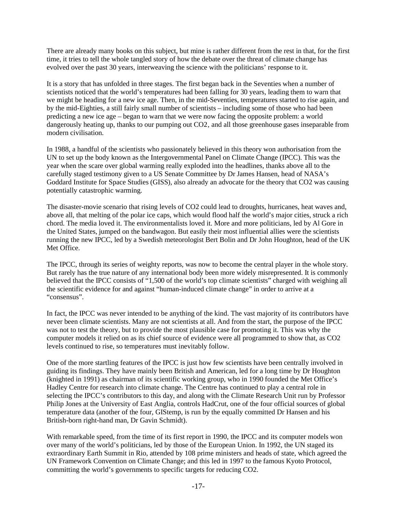There are already many books on this subject, but mine is rather different from the rest in that, for the first time, it tries to tell the whole tangled story of how the debate over the threat of climate change has evolved over the past 30 years, interweaving the science with the politicians' response to it.

It is a story that has unfolded in three stages. The first began back in the Seventies when a number of scientists noticed that the world's temperatures had been falling for 30 years, leading them to warn that we might be heading for a new ice age. Then, in the mid-Seventies, temperatures started to rise again, and by the mid-Eighties, a still fairly small number of scientists – including some of those who had been predicting a new ice age – began to warn that we were now facing the opposite problem: a world dangerously heating up, thanks to our pumping out CO2, and all those greenhouse gases inseparable from modern civilisation.

In 1988, a handful of the scientists who passionately believed in this theory won authorisation from the UN to set up the body known as the Intergovernmental Panel on Climate Change (IPCC). This was the year when the scare over global warming really exploded into the headlines, thanks above all to the carefully staged testimony given to a US Senate Committee by Dr James Hansen, head of NASA's Goddard Institute for Space Studies (GISS), also already an advocate for the theory that CO2 was causing potentially catastrophic warming.

The disaster-movie scenario that rising levels of CO2 could lead to droughts, hurricanes, heat waves and, above all, that melting of the polar ice caps, which would flood half the world's major cities, struck a rich chord. The media loved it. The environmentalists loved it. More and more politicians, led by Al Gore in the United States, jumped on the bandwagon. But easily their most influential allies were the scientists running the new IPCC, led by a Swedish meteorologist Bert Bolin and Dr John Houghton, head of the UK Met Office.

The IPCC, through its series of weighty reports, was now to become the central player in the whole story. But rarely has the true nature of any international body been more widely misrepresented. It is commonly believed that the IPCC consists of "1,500 of the world's top climate scientists" charged with weighing all the scientific evidence for and against "human-induced climate change" in order to arrive at a "consensus".

In fact, the IPCC was never intended to be anything of the kind. The vast majority of its contributors have never been climate scientists. Many are not scientists at all. And from the start, the purpose of the IPCC was not to test the theory, but to provide the most plausible case for promoting it. This was why the computer models it relied on as its chief source of evidence were all programmed to show that, as CO2 levels continued to rise, so temperatures must inevitably follow.

One of the more startling features of the IPCC is just how few scientists have been centrally involved in guiding its findings. They have mainly been British and American, led for a long time by Dr Houghton (knighted in 1991) as chairman of its scientific working group, who in 1990 founded the Met Office's Hadley Centre for research into climate change. The Centre has continued to play a central role in selecting the IPCC's contributors to this day, and along with the Climate Research Unit run by Professor Philip Jones at the University of East Anglia, controls HadCrut, one of the four official sources of global temperature data (another of the four, GIStemp, is run by the equally committed Dr Hansen and his British-born right-hand man, Dr Gavin Schmidt).

With remarkable speed, from the time of its first report in 1990, the IPCC and its computer models won over many of the world's politicians, led by those of the European Union. In 1992, the UN staged its extraordinary Earth Summit in Rio, attended by 108 prime ministers and heads of state, which agreed the UN Framework Convention on Climate Change; and this led in 1997 to the famous Kyoto Protocol, committing the world's governments to specific targets for reducing CO2.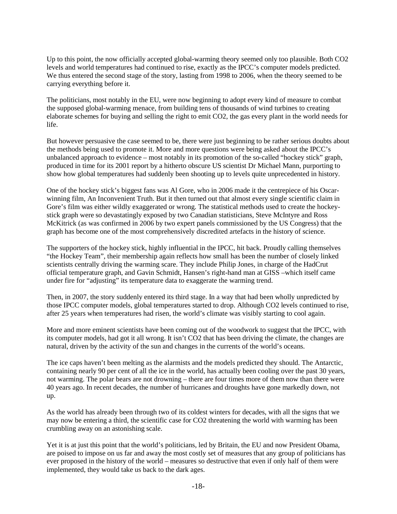Up to this point, the now officially accepted global-warming theory seemed only too plausible. Both CO2 levels and world temperatures had continued to rise, exactly as the IPCC's computer models predicted. We thus entered the second stage of the story, lasting from 1998 to 2006, when the theory seemed to be carrying everything before it.

The politicians, most notably in the EU, were now beginning to adopt every kind of measure to combat the supposed global-warming menace, from building tens of thousands of wind turbines to creating elaborate schemes for buying and selling the right to emit CO2, the gas every plant in the world needs for life.

But however persuasive the case seemed to be, there were just beginning to be rather serious doubts about the methods being used to promote it. More and more questions were being asked about the IPCC's unbalanced approach to evidence – most notably in its promotion of the so-called "hockey stick" graph, produced in time for its 2001 report by a hitherto obscure US scientist Dr Michael Mann, purporting to show how global temperatures had suddenly been shooting up to levels quite unprecedented in history.

One of the hockey stick's biggest fans was Al Gore, who in 2006 made it the centrepiece of his Oscarwinning film, An Inconvenient Truth. But it then turned out that almost every single scientific claim in Gore's film was either wildly exaggerated or wrong. The statistical methods used to create the hockeystick graph were so devastatingly exposed by two Canadian statisticians, Steve McIntyre and Ross McKitrick (as was confirmed in 2006 by two expert panels commissioned by the US Congress) that the graph has become one of the most comprehensively discredited artefacts in the history of science.

The supporters of the hockey stick, highly influential in the IPCC, hit back. Proudly calling themselves "the Hockey Team", their membership again reflects how small has been the number of closely linked scientists centrally driving the warming scare. They include Philip Jones, in charge of the HadCrut official temperature graph, and Gavin Schmidt, Hansen's right-hand man at GISS –which itself came under fire for "adjusting" its temperature data to exaggerate the warming trend.

Then, in 2007, the story suddenly entered its third stage. In a way that had been wholly unpredicted by those IPCC computer models, global temperatures started to drop. Although CO2 levels continued to rise, after 25 years when temperatures had risen, the world's climate was visibly starting to cool again.

More and more eminent scientists have been coming out of the woodwork to suggest that the IPCC, with its computer models, had got it all wrong. It isn't CO2 that has been driving the climate, the changes are natural, driven by the activity of the sun and changes in the currents of the world's oceans.

The ice caps haven't been melting as the alarmists and the models predicted they should. The Antarctic, containing nearly 90 per cent of all the ice in the world, has actually been cooling over the past 30 years, not warming. The polar bears are not drowning – there are four times more of them now than there were 40 years ago. In recent decades, the number of hurricanes and droughts have gone markedly down, not up.

As the world has already been through two of its coldest winters for decades, with all the signs that we may now be entering a third, the scientific case for CO2 threatening the world with warming has been crumbling away on an astonishing scale.

Yet it is at just this point that the world's politicians, led by Britain, the EU and now President Obama, are poised to impose on us far and away the most costly set of measures that any group of politicians has ever proposed in the history of the world – measures so destructive that even if only half of them were implemented, they would take us back to the dark ages.